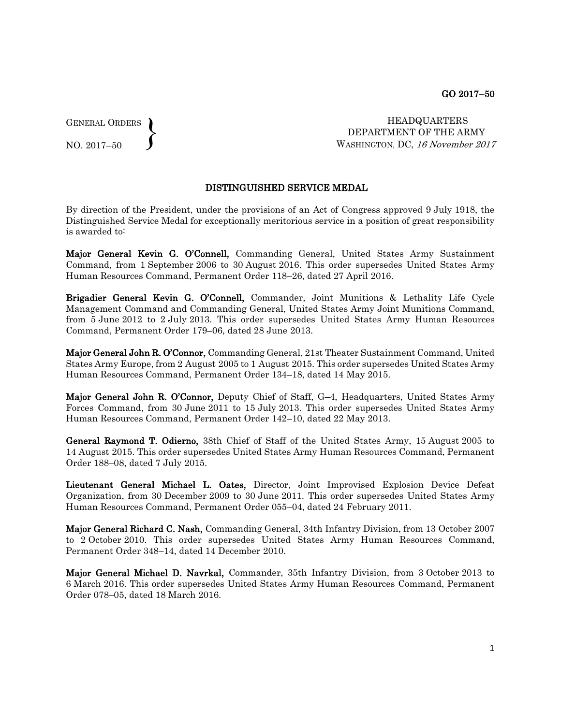GENERAL ORDERS  $\left\{ \right\}$ 

NO. 2017–50

HEADQUARTERS DEPARTMENT OF THE ARMY WASHINGTON, DC, 16 November 2017

## DISTINGUISHED SERVICE MEDAL

By direction of the President, under the provisions of an Act of Congress approved 9 July 1918, the Distinguished Service Medal for exceptionally meritorious service in a position of great responsibility is awarded to:

Major General Kevin G. O'Connell, Commanding General, United States Army Sustainment Command, from 1 September 2006 to 30 August 2016. This order supersedes United States Army Human Resources Command, Permanent Order 118–26, dated 27 April 2016.

Brigadier General Kevin G. O'Connell, Commander, Joint Munitions & Lethality Life Cycle Management Command and Commanding General, United States Army Joint Munitions Command, from 5 June 2012 to 2 July 2013. This order supersedes United States Army Human Resources Command, Permanent Order 179–06, dated 28 June 2013.

Major General John R. O'Connor, Commanding General, 21st Theater Sustainment Command, United States Army Europe, from 2 August 2005 to 1 August 2015. This order supersedes United States Army Human Resources Command, Permanent Order 134–18, dated 14 May 2015.

Major General John R. O'Connor, Deputy Chief of Staff, G–4, Headquarters, United States Army Forces Command, from 30 June 2011 to 15 July 2013. This order supersedes United States Army Human Resources Command, Permanent Order 142–10, dated 22 May 2013.

General Raymond T. Odierno, 38th Chief of Staff of the United States Army, 15 August 2005 to 14 August 2015. This order supersedes United States Army Human Resources Command, Permanent Order 188–08, dated 7 July 2015.

Lieutenant General Michael L. Oates, Director, Joint Improvised Explosion Device Defeat Organization, from 30 December 2009 to 30 June 2011. This order supersedes United States Army Human Resources Command, Permanent Order 055–04, dated 24 February 2011.

Major General Richard C. Nash, Commanding General, 34th Infantry Division, from 13 October 2007 to 2 October 2010. This order supersedes United States Army Human Resources Command, Permanent Order 348–14, dated 14 December 2010.

Major General Michael D. Navrkal, Commander, 35th Infantry Division, from 3 October 2013 to 6 March 2016. This order supersedes United States Army Human Resources Command, Permanent Order 078–05, dated 18 March 2016.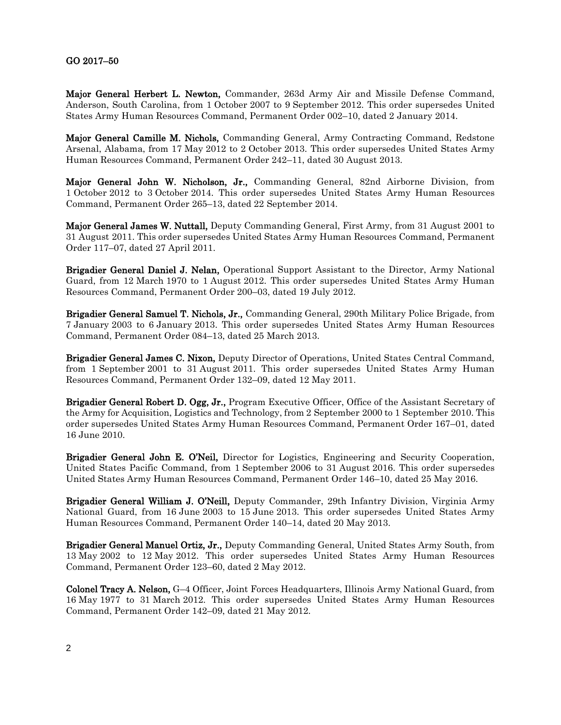## GO 2017–50

Major General Herbert L. Newton, Commander, 263d Army Air and Missile Defense Command, Anderson, South Carolina, from 1 October 2007 to 9 September 2012. This order supersedes United States Army Human Resources Command, Permanent Order 002–10, dated 2 January 2014.

Major General Camille M. Nichols, Commanding General, Army Contracting Command, Redstone Arsenal, Alabama, from 17 May 2012 to 2 October 2013. This order supersedes United States Army Human Resources Command, Permanent Order 242–11, dated 30 August 2013.

Major General John W. Nicholson, Jr., Commanding General, 82nd Airborne Division, from 1 October 2012 to 3 October 2014. This order supersedes United States Army Human Resources Command, Permanent Order 265–13, dated 22 September 2014.

Major General James W. Nuttall, Deputy Commanding General, First Army, from 31 August 2001 to 31 August 2011. This order supersedes United States Army Human Resources Command, Permanent Order 117–07, dated 27 April 2011.

Brigadier General Daniel J. Nelan, Operational Support Assistant to the Director, Army National Guard, from 12 March 1970 to 1 August 2012. This order supersedes United States Army Human Resources Command, Permanent Order 200–03, dated 19 July 2012.

Brigadier General Samuel T. Nichols, Jr., Commanding General, 290th Military Police Brigade, from 7 January 2003 to 6 January 2013. This order supersedes United States Army Human Resources Command, Permanent Order 084–13, dated 25 March 2013.

Brigadier General James C. Nixon, Deputy Director of Operations, United States Central Command, from 1 September 2001 to 31 August 2011. This order supersedes United States Army Human Resources Command, Permanent Order 132–09, dated 12 May 2011.

Brigadier General Robert D. Ogg, Jr., Program Executive Officer, Office of the Assistant Secretary of the Army for Acquisition, Logistics and Technology, from 2 September 2000 to 1 September 2010. This order supersedes United States Army Human Resources Command, Permanent Order 167–01, dated 16 June 2010.

Brigadier General John E. O'Neil, Director for Logistics, Engineering and Security Cooperation, United States Pacific Command, from 1 September 2006 to 31 August 2016. This order supersedes United States Army Human Resources Command, Permanent Order 146–10, dated 25 May 2016.

Brigadier General William J. O'Neill, Deputy Commander, 29th Infantry Division, Virginia Army National Guard, from 16 June 2003 to 15 June 2013. This order supersedes United States Army Human Resources Command, Permanent Order 140–14, dated 20 May 2013.

Brigadier General Manuel Ortiz, Jr., Deputy Commanding General, United States Army South, from 13 May 2002 to 12 May 2012. This order supersedes United States Army Human Resources Command, Permanent Order 123–60, dated 2 May 2012.

Colonel Tracy A. Nelson, G–4 Officer, Joint Forces Headquarters, Illinois Army National Guard, from 16 May 1977 to 31 March 2012. This order supersedes United States Army Human Resources Command, Permanent Order 142–09, dated 21 May 2012.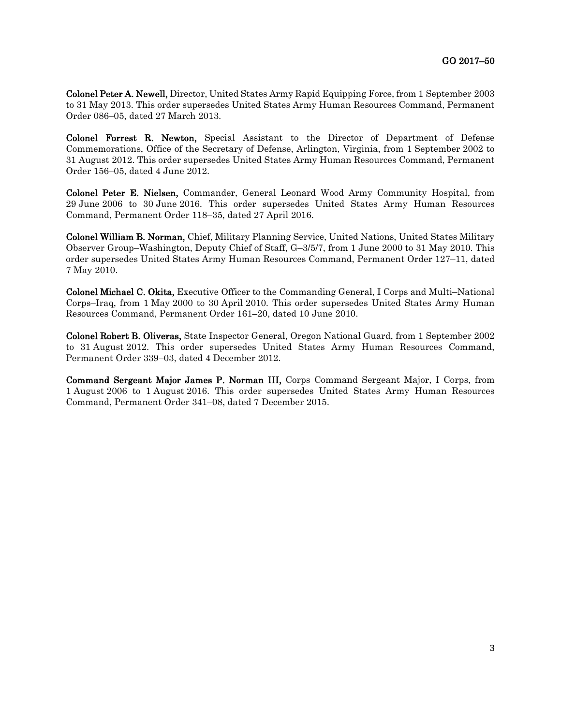Colonel Peter A. Newell, Director, United States Army Rapid Equipping Force, from 1 September 2003 to 31 May 2013. This order supersedes United States Army Human Resources Command, Permanent Order 086–05, dated 27 March 2013.

Colonel Forrest R. Newton, Special Assistant to the Director of Department of Defense Commemorations, Office of the Secretary of Defense, Arlington, Virginia, from 1 September 2002 to 31 August 2012. This order supersedes United States Army Human Resources Command, Permanent Order 156–05, dated 4 June 2012.

Colonel Peter E. Nielsen, Commander, General Leonard Wood Army Community Hospital, from 29 June 2006 to 30 June 2016. This order supersedes United States Army Human Resources Command, Permanent Order 118–35, dated 27 April 2016.

Colonel William B. Norman, Chief, Military Planning Service, United Nations, United States Military Observer Group–Washington, Deputy Chief of Staff, G–3/5/7, from 1 June 2000 to 31 May 2010. This order supersedes United States Army Human Resources Command, Permanent Order 127–11, dated 7 May 2010.

Colonel Michael C. Okita, Executive Officer to the Commanding General, I Corps and Multi–National Corps–Iraq, from 1 May 2000 to 30 April 2010. This order supersedes United States Army Human Resources Command, Permanent Order 161–20, dated 10 June 2010.

Colonel Robert B. Oliveras, State Inspector General, Oregon National Guard, from 1 September 2002 to 31 August 2012. This order supersedes United States Army Human Resources Command, Permanent Order 339–03, dated 4 December 2012.

Command Sergeant Major James P. Norman III, Corps Command Sergeant Major, I Corps, from 1 August 2006 to 1 August 2016. This order supersedes United States Army Human Resources Command, Permanent Order 341–08, dated 7 December 2015.